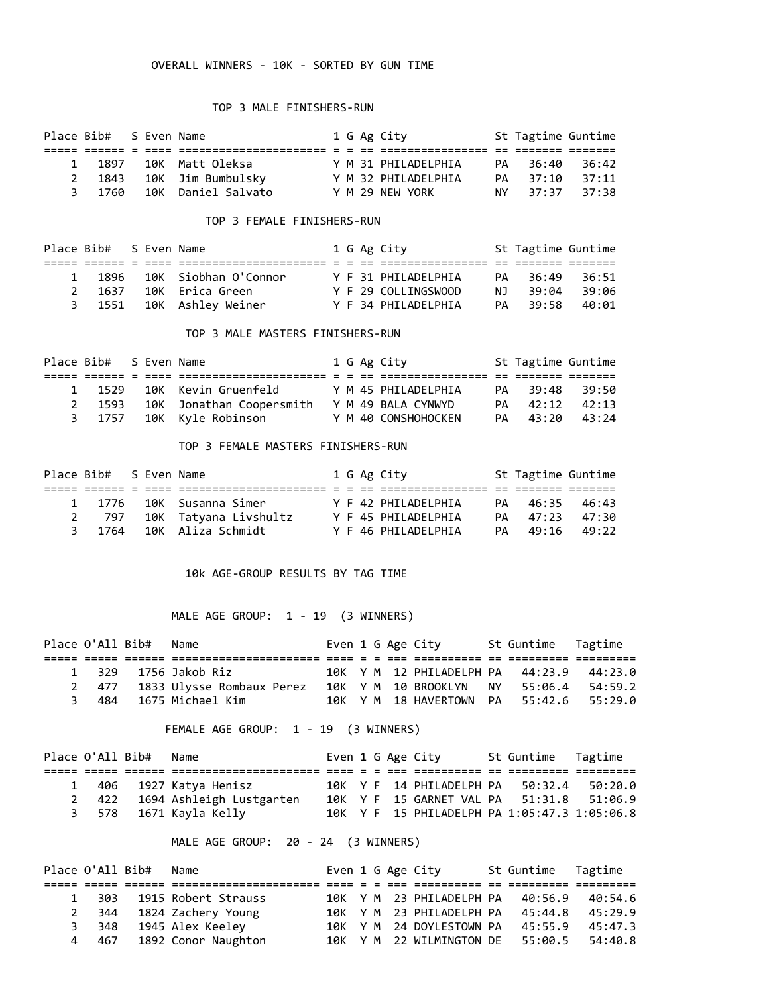### OVERALL WINNERS - 10K - SORTED BY GUN TIME

### TOP 3 MALE FINISHERS-RUN

| Place Bib# S Even Name |  |                          |  | 1 G Ag City         | St Tagtime Guntime |       |
|------------------------|--|--------------------------|--|---------------------|--------------------|-------|
|                        |  | mmennenne e e ee.        |  |                     |                    |       |
| 1 1897                 |  | 10K  Matt Oleksa         |  | Y M 31 PHILADELPHIA | PA 36:40           | 36:42 |
|                        |  | 2 1843 10K Jim Bumbulsky |  | Y M 32 PHILADELPHIA | PA 37:10           | 37:11 |
| 3 1760                 |  | 10K Daniel Salvato       |  | Y M 29 NFW YORK     | NY 37:37 37:38     |       |

### TOP 3 FEMALE FINISHERS-RUN

| Place Bib# S Even Name |  |                          |  | 1 G Ag City         |     | St Tagtime Guntime |         |
|------------------------|--|--------------------------|--|---------------------|-----|--------------------|---------|
|                        |  |                          |  |                     |     |                    |         |
| 1 1896                 |  | 10K Siobhan O'Connor     |  | Y F 31 PHILADELPHIA | PA  | 36:49              | - 36:51 |
| 2 1637                 |  | 10K Erica Green          |  | Y F 29 COLLINGSWOOD | N T | 39:04              | 39:06   |
|                        |  | 3 1551 10K Ashley Weiner |  | Y F 34 PHILADELPHIA | PA  | 39:58              | 40:01   |

### TOP 3 MALE MASTERS FINISHERS-RUN

| Place Bib# S Even Name |  |                            |  | 1 G Ag City         | St Tagtime Guntime |  |
|------------------------|--|----------------------------|--|---------------------|--------------------|--|
|                        |  |                            |  |                     |                    |  |
|                        |  | 1 1529 10K Kevin Gruenfeld |  | Y M 45 PHILADELPHIA | PA 39:48 39:50     |  |
| 2 1593                 |  | 10K Jonathan Coopersmith   |  | Y M 49 BALA CYNWYD  | PA 42:12 42:13     |  |
|                        |  | 3 1757 10K Kyle Robinson   |  | Y M 40 CONSHOHOCKEN | PA 43:20 43:24     |  |

#### TOP 3 FEMALE MASTERS FINISHERS-RUN

| Place Bib# S Even Name |  |                          |  | 1 G Ag City         | St Tagtime Guntime |  |
|------------------------|--|--------------------------|--|---------------------|--------------------|--|
|                        |  |                          |  |                     |                    |  |
|                        |  | 1 1776 10K Susanna Simer |  | Y F 42 PHTIADFIPHTA | PA 46:35 46:43     |  |
| 2 797                  |  | 10K Tatyana Livshultz    |  | Y F 45 PHILADELPHIA | PA 47:23 47:30     |  |
|                        |  | 3 1764 10K Aliza Schmidt |  | Y F 46 PHILADELPHIA | PA 49:16 49:22     |  |

#### 10k AGE-GROUP RESULTS BY TAG TIME

# MALE AGE GROUP: 1 - 19 (3 WINNERS)

|  | Place O'All Bib# Name |                                 |  |  | Even 1 G Age City                        | St Guntime Tagtime |  |
|--|-----------------------|---------------------------------|--|--|------------------------------------------|--------------------|--|
|  |                       |                                 |  |  |                                          |                    |  |
|  |                       | 1 329 1756 Jakob Riz            |  |  | 10K Y M 12 PHILADELPH PA 44:23.9 44:23.0 |                    |  |
|  |                       | 2 477 1833 Ulysse Rombaux Perez |  |  | 10K Y M 10 BROOKLYN                      | NY 55:06.4 54:59.2 |  |
|  |                       | 3 484 1675 Michael Kim          |  |  | 10K Y M 18 HAVERTOWN PA 55:42.6 55:29.0  |                    |  |

# FEMALE AGE GROUP: 1 - 19 (3 WINNERS)

|  | Place O'All Bib# Name |                                |  |  | Even 1 G Age City                            | St Guntime Tagtime |         |
|--|-----------------------|--------------------------------|--|--|----------------------------------------------|--------------------|---------|
|  |                       |                                |  |  |                                              |                    |         |
|  |                       | 1 406 1927 Katya Henisz        |  |  | 10K Y F 14 PHILADELPH PA                     | 50:32.4            | 50:20.0 |
|  |                       | 2 422 1694 Ashleigh Lustgarten |  |  | 10K Y F 15 GARNET VAL PA 51:31.8 51:06.9     |                    |         |
|  |                       | 3 578 1671 Kayla Kelly         |  |  | 10K Y F 15 PHILADELPH PA 1:05:47.3 1:05:06.8 |                    |         |

# MALE AGE GROUP: 20 - 24 (3 WINNERS)

|              |   | Place O'All Bib# Name |                          |  |  | Even 1 G Age City                        | St Guntime Tagtime |         |
|--------------|---|-----------------------|--------------------------|--|--|------------------------------------------|--------------------|---------|
|              |   |                       |                          |  |  |                                          |                    |         |
| $\mathbf{1}$ |   |                       | 303 1915 Robert Strauss  |  |  | 10K Y M 23 PHILADELPH PA 40:56.9         |                    | 40:54.6 |
|              |   |                       | 2 344 1824 Zachery Young |  |  | 10K Y M 23 PHILADELPH PA 45:44.8         |                    | 45:29.9 |
|              |   |                       | 3 348 1945 Alex Keeley   |  |  | 10K Y M 24 DOYLESTOWN PA 45:55.9         |                    | 45:47.3 |
|              | 4 |                       | 467 1892 Conor Naughton  |  |  | 10K Y M 22 WILMINGTON DE 55:00.5 54:40.8 |                    |         |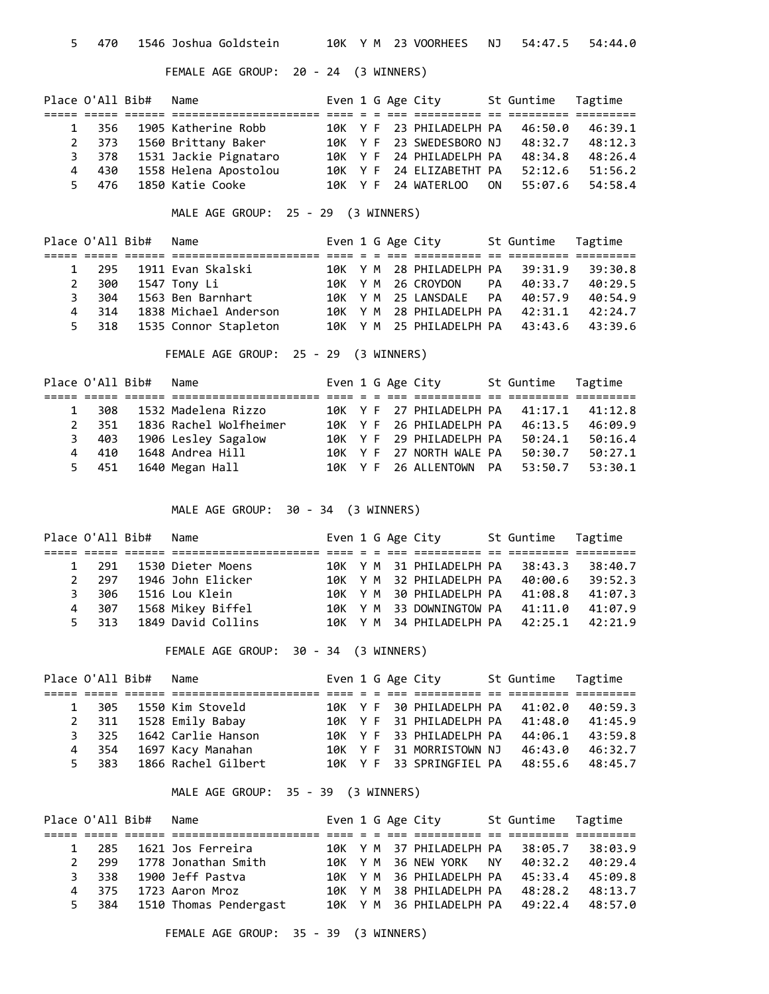5 470 1546 Joshua Goldstein 10K Y M 23 VOORHEES NJ 54:47.5 54:44.0

FEMALE AGE GROUP: 20 - 24 (3 WINNERS)

|              | Place O'All Bib# | Name                        | Even 1 G Age City |  |                          |    | St Guntime Tagtime |         |
|--------------|------------------|-----------------------------|-------------------|--|--------------------------|----|--------------------|---------|
|              |                  |                             |                   |  |                          |    |                    |         |
| $\mathbf{1}$ |                  | 356 1905 Katherine Robb     |                   |  | 10K Y F 23 PHILADELPH PA |    | 46:50.0            | 46:39.1 |
|              |                  | 2 373 1560 Brittany Baker   |                   |  | 10K Y F 23 SWEDESBORO NJ |    | 48:32.7            | 48:12.3 |
|              |                  | 3 378 1531 Jackie Pignataro |                   |  | 10K Y F 24 PHILADELPH PA |    | 48:34.8            | 48:26.4 |
|              | 4 430            | 1558 Helena Apostolou       |                   |  | 10K Y F 24 ELIZABETHT PA |    | 52:12.6            | 51:56.2 |
|              |                  | 5 476 1850 Katie Cooke      |                   |  | 10K Y F 24 WATERLOO      | ON | 55:07.6            | 54:58.4 |

MALE AGE GROUP: 25 - 29 (3 WINNERS)

|             | Place O'All Bib# | Name                        | Even 1 G Age City |  |                                  | St Guntime Tagtime |         |
|-------------|------------------|-----------------------------|-------------------|--|----------------------------------|--------------------|---------|
|             |                  |                             |                   |  |                                  |                    |         |
|             |                  | 1 295 1911 Evan Skalski     |                   |  | 10K Y M 28 PHILADELPH PA 39:31.9 |                    | 39:30.8 |
| $2^{\circ}$ |                  | 300 1547 Tony Li            |                   |  | 10K Y M 26 CROYDON PA 40:33.7    |                    | 40:29.5 |
|             | 304<br>3         | 1563 Ben Barnhart           |                   |  | 10K Y M 25 LANSDALE PA 40:57.9   |                    | 40:54.9 |
| 4           | 314              | 1838 Michael Anderson       |                   |  | 10K Y M 28 PHILADELPH PA 42:31.1 |                    | 42:24.7 |
|             |                  | 5 318 1535 Connor Stapleton |                   |  | 10K Y M 25 PHILADELPH PA 43:43.6 |                    | 43:39.6 |

FEMALE AGE GROUP: 25 - 29 (3 WINNERS)

|             |       | Place O'All Bib# Name |                         |  |  | Even 1 G Age City                | St Guntime Tagtime |         |
|-------------|-------|-----------------------|-------------------------|--|--|----------------------------------|--------------------|---------|
|             |       |                       |                         |  |  |                                  |                    |         |
| $1 \quad$   | 308   |                       | 1532 Madelena Rizzo     |  |  | 10K Y F 27 PHILADELPH PA 41:17.1 |                    | 41:12.8 |
| $2^{\circ}$ | 351   |                       | 1836 Rachel Wolfheimer  |  |  | 10K Y F 26 PHILADELPH PA         | 46:13.5            | 46:09.9 |
|             | 3     |                       | 403 1906 Lesley Sagalow |  |  | 10K Y F 29 PHILADELPH PA         | 50:24.1            | 50:16.4 |
| 4           | 410   |                       | 1648 Andrea Hill        |  |  | 10K Y F 27 NORTH WALE PA         | 50:30.7            | 50:27.1 |
|             | 5 451 |                       | 1640 Megan Hall         |  |  | 10K Y F 26 ALLENTOWN PA          | 53:50.7            | 53:30.1 |

MALE AGE GROUP: 30 - 34 (3 WINNERS)

|   | Place O'All Bib# | Name                    | Even 1 G Age City |  |                                  | St Guntime Tagtime |         |
|---|------------------|-------------------------|-------------------|--|----------------------------------|--------------------|---------|
|   |                  |                         |                   |  |                                  |                    |         |
|   | 1 291            | 1530 Dieter Moens       |                   |  | 10K Y M 31 PHILADELPH PA 38:43.3 |                    | 38:40.7 |
|   |                  | 2 297 1946 John Elicker |                   |  | 10K Y M 32 PHILADELPH PA         | 40:00.6            | 39:52.3 |
|   | 3.               | 306 1516 Lou Klein      |                   |  | 10K Y M 30 PHILADELPH PA 41:08.8 |                    | 41:07.3 |
| 4 | 307              | 1568 Mikey Biffel       |                   |  | 10K Y M 33 DOWNINGTOW PA 41:11.0 |                    | 41:07.9 |
|   | 5 313            | 1849 David Collins      |                   |  | 10K Y M 34 PHILADELPH PA 42:25.1 |                    | 42:21.9 |

FEMALE AGE GROUP: 30 - 34 (3 WINNERS)

| Place O'All Bib# | Name                      |  |  | Even 1 G Age City                | St Guntime Tagtime |         |
|------------------|---------------------------|--|--|----------------------------------|--------------------|---------|
|                  |                           |  |  |                                  |                    |         |
|                  | 1 305 1550 Kim Stoveld    |  |  | 10K Y F 30 PHILADELPH PA 41:02.0 |                    | 40:59.3 |
|                  | 2 311 1528 Emily Babay    |  |  | 10K Y F 31 PHILADELPH PA 41:48.0 |                    | 41:45.9 |
|                  | 3 325 1642 Carlie Hanson  |  |  | 10K Y F 33 PHILADELPH PA         | 44:06.1            | 43:59.8 |
| 4 354            | 1697 Kacy Manahan         |  |  | 10K Y F 31 MORRISTOWN NJ         | 46:43.0            | 46:32.7 |
|                  | 5 383 1866 Rachel Gilbert |  |  | 10K Y F 33 SPRINGFIEL PA 48:55.6 |                    | 48:45.7 |

MALE AGE GROUP: 35 - 39 (3 WINNERS)

|   | Place O'All Bib# | Name                       |  |  | Even 1 G Age City                |      | St Guntime Tagtime |         |
|---|------------------|----------------------------|--|--|----------------------------------|------|--------------------|---------|
|   |                  | --------------             |  |  |                                  |      |                    |         |
|   | 1 285            | 1621 Jos Ferreira          |  |  | 10K Y M 37 PHILADELPH PA 38:05.7 |      |                    | 38:03.9 |
| 2 | 299              | 1778 Jonathan Smith        |  |  | 10K Y M 36 NEW YORK              | NY N | 40:32.2            | 40:29.4 |
|   |                  | 3 338 1900 Jeff Pastva     |  |  | 10K Y M 36 PHILADELPH PA 45:33.4 |      |                    | 45:09.8 |
|   | 4 375            | 1723 Aaron Mroz            |  |  | 10K Y M 38 PHILADELPH PA         |      | 48:28.2            | 48:13.7 |
|   | 5.               | 384 1510 Thomas Pendergast |  |  | 10K Y M 36 PHILADELPH PA 49:22.4 |      |                    | 48:57.0 |

FEMALE AGE GROUP: 35 - 39 (3 WINNERS)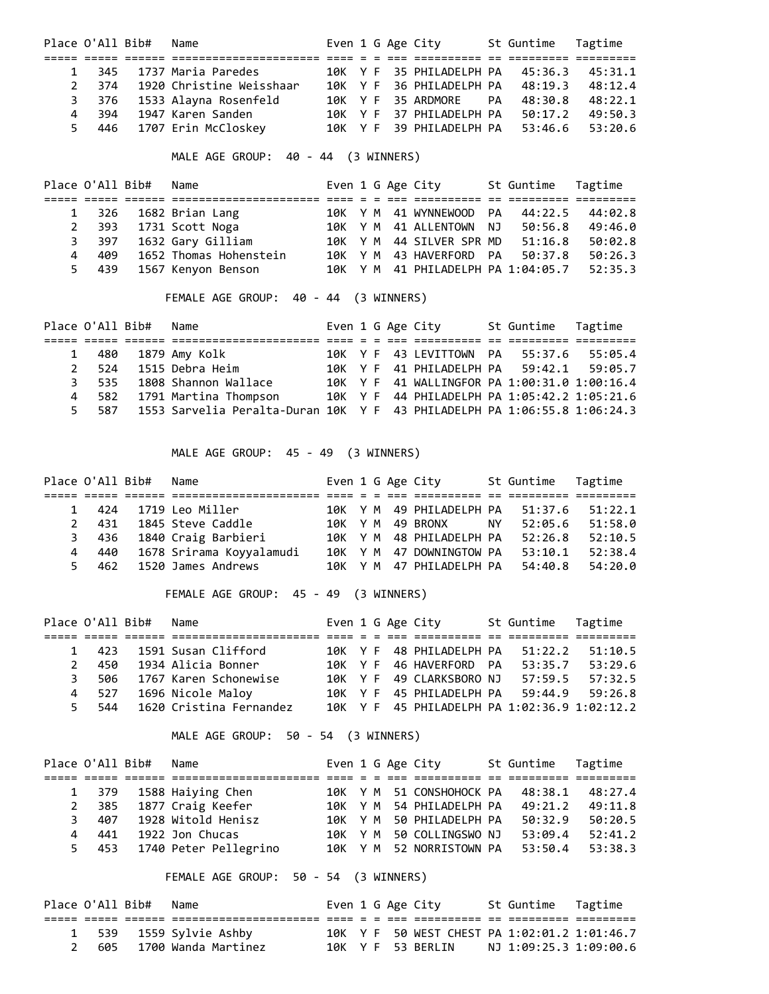|                | Place O'All Bib# Name |                              |  |  | Even 1 G Age City                | St Guntime Tagtime |                 |
|----------------|-----------------------|------------------------------|--|--|----------------------------------|--------------------|-----------------|
|                |                       |                              |  |  |                                  |                    |                 |
|                |                       | 1 345 1737 Maria Paredes     |  |  | 10K Y F 35 PHILADELPH PA 45:36.3 |                    | 45:31.1         |
| $\overline{2}$ |                       | 374 1920 Christine Weisshaar |  |  | 10K Y F 36 PHILADELPH PA 48:19.3 |                    | 48:12.4         |
|                |                       | 3 376 1533 Alayna Rosenfeld  |  |  | 10K Y F 35 ARDMORE PA            | 48:30.8            | 48:22.1         |
|                |                       | 4 394 1947 Karen Sanden      |  |  | 10K Y F 37 PHILADELPH PA 50:17.2 |                    | 49:50.3         |
|                |                       | 5 446 1707 Erin McCloskey    |  |  | 10K Y F 39 PHILADELPH PA         |                    | 53:46.6 53:20.6 |

# MALE AGE GROUP: 40 - 44 (3 WINNERS)

|             | Place O'All Bib# | Name                   |  |  | Even 1 G Age City                  | St Guntime | Tagtime |
|-------------|------------------|------------------------|--|--|------------------------------------|------------|---------|
|             |                  |                        |  |  |                                    |            |         |
|             |                  | 1 326 1682 Brian Lang  |  |  | 10K Y M 41 WYNNEWOOD PA            | 44:22.5    | 44:02.8 |
| $2^{\circ}$ | 393              | 1731 Scott Noga        |  |  | 10K Y M 41 ALLENTOWN NJ            | 50:56.8    | 49:46.0 |
| 3           | 397              | 1632 Gary Gilliam      |  |  | 10K Y M 44 SILVER SPR MD           | 51:16.8    | 50:02.8 |
| 4           | 409              | 1652 Thomas Hohenstein |  |  | 10K Y M 43 HAVERFORD PA            | 50:37.8    | 50:26.3 |
|             | 5 439            | 1567 Kenyon Benson     |  |  | 10K Y M 41 PHILADELPH PA 1:04:05.7 |            | 52:35.3 |

FEMALE AGE GROUP: 40 - 44 (3 WINNERS)

|  | Place O'All Bib# Name |                                                                                |  |  | Even 1 G Age City                            | St Guntime Tagtime |         |
|--|-----------------------|--------------------------------------------------------------------------------|--|--|----------------------------------------------|--------------------|---------|
|  |                       |                                                                                |  |  |                                              |                    |         |
|  |                       | 1 480 1879 Amy Kolk                                                            |  |  | 10K Y F 43 LEVITTOWN PA 55:37.6              |                    | 55:05.4 |
|  |                       | 2 524 1515 Debra Heim                                                          |  |  | 10K Y F 41 PHILADELPH PA 59:42.1 59:05.7     |                    |         |
|  |                       | 3 535 1808 Shannon Wallace                                                     |  |  | 10K Y F 41 WALLINGFOR PA 1:00:31.0 1:00:16.4 |                    |         |
|  |                       | 4 582 1791 Martina Thompson                                                    |  |  | 10K Y F 44 PHILADELPH PA 1:05:42.2 1:05:21.6 |                    |         |
|  |                       | 5 587 1553 Sarvelia Peralta-Duran 10K Y F 43 PHILADELPH PA 1:06:55.8 1:06:24.3 |  |  |                                              |                    |         |

MALE AGE GROUP: 45 - 49 (3 WINNERS)

| Place O'All Bib# | Name                     | Even 1 G Age City |  |                                  |    | St Guntime Tagtime |         |
|------------------|--------------------------|-------------------|--|----------------------------------|----|--------------------|---------|
|                  |                          |                   |  |                                  |    |                    |         |
| 1 424            | 1719 Leo Miller          |                   |  | 10K Y M 49 PHILADELPH PA 51:37.6 |    |                    | 51:22.1 |
| 2 431            | 1845 Steve Caddle        |                   |  | 10K Y M 49 BRONX                 | ΝY | 52:05.6            | 51:58.0 |
| 3 436            | 1840 Craig Barbieri      |                   |  | 10K Y M 48 PHILADELPH PA         |    | 52:26.8            | 52:10.5 |
| 4 440            | 1678 Srirama Koyyalamudi |                   |  | 10K Y M 47 DOWNINGTOW PA         |    | 53:10.1            | 52:38.4 |
| 5 462            | 1520 James Andrews       |                   |  | 10K Y M 47 PHILADELPH PA         |    | 54:40.8            | 54:20.0 |

FEMALE AGE GROUP: 45 - 49 (3 WINNERS)

|               | Place O'All Bib# | Name                          | Even 1 G Age City |  |                                              | St Guntime Tagtime |         |
|---------------|------------------|-------------------------------|-------------------|--|----------------------------------------------|--------------------|---------|
|               |                  |                               |                   |  |                                              |                    |         |
|               | 1 423            | 1591 Susan Clifford           |                   |  | 10K Y F 48 PHILADELPH PA 51:22.2             |                    | 51:10.5 |
| $\mathcal{P}$ | 450              | 1934 Alicia Bonner            |                   |  | 10K Y F 46 HAVERFORD PA                      | 53:35.7            | 53:29.6 |
|               | 3 506            | 1767 Karen Schonewise         |                   |  | 10K Y F 49 CLARKSBORO NJ                     | 57:59.5            | 57:32.5 |
|               | 4 527            | 1696 Nicole Maloy             |                   |  | 10K Y F 45 PHILADELPH PA 59:44.9 59:26.8     |                    |         |
|               |                  | 5 544 1620 Cristina Fernandez |                   |  | 10K Y F 45 PHILADELPH PA 1:02:36.9 1:02:12.2 |                    |         |

MALE AGE GROUP: 50 - 54 (3 WINNERS)

|                | Place O'All Bib# | Name                  | Even 1 G Age City |  |                          | St Guntime | Tagtime |
|----------------|------------------|-----------------------|-------------------|--|--------------------------|------------|---------|
|                |                  |                       |                   |  |                          |            |         |
|                | 1 379            | 1588 Haiying Chen     |                   |  | 10K Y M 51 CONSHOHOCK PA | 48:38.1    | 48:27.4 |
| $\mathbf{2}$   | 385              | 1877 Craig Keefer     |                   |  | 10K Y M 54 PHILADELPH PA | 49:21.2    | 49:11.8 |
| 3.             | 407              | 1928 Witold Henisz    |                   |  | 10K Y M 50 PHILADELPH PA | 50:32.9    | 50:20.5 |
| $\overline{4}$ | 441              | 1922 Jon Chucas       |                   |  | 10K Y M 50 COLLINGSWO NJ | 53:09.4    | 52:41.2 |
|                | 5 453            | 1740 Peter Pellegrino |                   |  | 10K Y M 52 NORRISTOWN PA | 53:50.4    | 53:38.3 |

FEMALE AGE GROUP: 50 - 54 (3 WINNERS)

|  | Place O'All Bib# Name |                           |  |  | Even 1 G Age City                            | St Guntime Tagtime     |  |
|--|-----------------------|---------------------------|--|--|----------------------------------------------|------------------------|--|
|  |                       |                           |  |  |                                              |                        |  |
|  |                       | 1 539 1559 Sylvie Ashby   |  |  | 10K Y F 50 WEST CHEST PA 1:02:01.2 1:01:46.7 |                        |  |
|  |                       | 2 605 1700 Wanda Martinez |  |  | 10K Y F 53 BERLIN                            | NJ 1:09:25.3 1:09:00.6 |  |